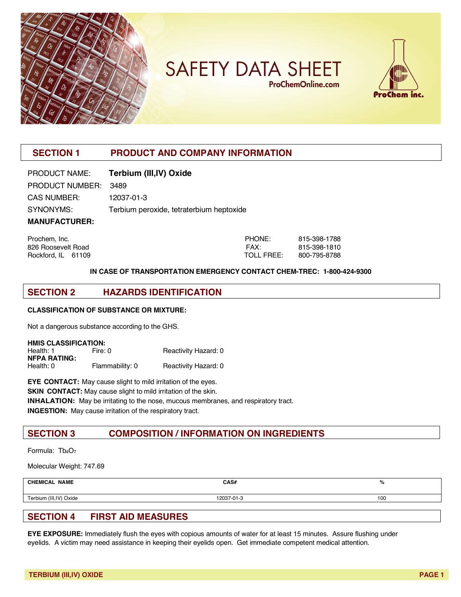

**SAFETY DATA SHEET ProChemOnline.com** 



# **SECTION 1 PRODUCT AND COMPANY INFORMATION**

| PRODUCT NAME:        | Terbium (III, IV) Oxide                  |
|----------------------|------------------------------------------|
| PRODUCT NUMBER: 3489 |                                          |
| <b>CAS NUMBER:</b>   | 12037-01-3                               |
| SYNONYMS:            | Terbium peroxide, tetraterbium heptoxide |
| <b>MANUFACTURER:</b> |                                          |

Prochem, Inc. PHONE: 815-398-1788 826 Roosevelt Road FAX: 815-398-1810 Rockford, IL 61109 TOLL FREE: 800-795-8788

#### **IN CASE OF TRANSPORTATION EMERGENCY CONTACT CHEM-TREC: 1-800-424-9300**

#### **SECTION 2 HAZARDS IDENTIFICATION**

#### **CLASSIFICATION OF SUBSTANCE OR MIXTURE:**

Not a dangerous substance according to the GHS.

| <b>HMIS CLASSIFICATION:</b> |                 |                      |  |  |
|-----------------------------|-----------------|----------------------|--|--|
| Health: 1                   | Fire: 0         | Reactivity Hazard: 0 |  |  |
| <b>NFPA RATING:</b>         |                 |                      |  |  |
| Health: 0                   | Flammability: 0 | Reactivity Hazard: 0 |  |  |

**EYE CONTACT:** May cause slight to mild irritation of the eyes. **SKIN CONTACT:** May cause slight to mild irritation of the skin. **INHALATION:** May be irritating to the nose, mucous membranes, and respiratory tract. **INGESTION:** May cause irritation of the respiratory tract.

## **SECTION 3 COMPOSITION / INFORMATION ON INGREDIENTS**

Formula: Tb<sub>4</sub>O<sub>7</sub>

Molecular Weight: 747.69

| <b>CHEMICAL NAME</b>   | CAS#       | %   |
|------------------------|------------|-----|
| Terbium (III,IV) Oxide | 12037-01-3 | 100 |
|                        |            |     |

# **SECTION 4 FIRST AID MEASURES**

**EYE EXPOSURE:** Immediately flush the eyes with copious amounts of water for at least 15 minutes. Assure flushing under eyelids. A victim may need assistance in keeping their eyelids open. Get immediate competent medical attention.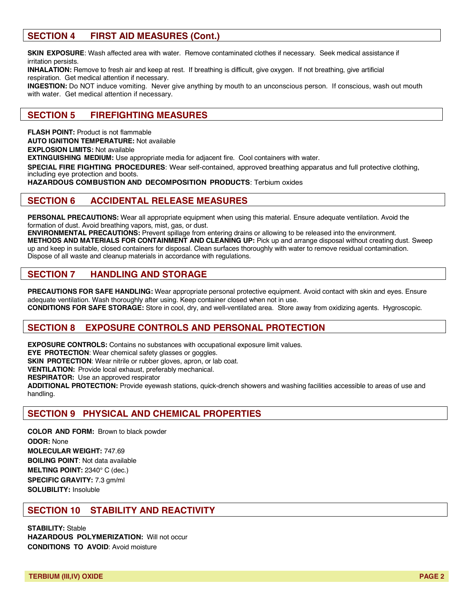## **SECTION 4 FIRST AID MEASURES (Cont.)**

**SKIN EXPOSURE**: Wash affected area with water. Remove contaminated clothes if necessary. Seek medical assistance if irritation persists.

**INHALATION:** Remove to fresh air and keep at rest. If breathing is difficult, give oxygen. If not breathing, give artificial respiration. Get medical attention if necessary.

**INGESTION:** Do NOT induce vomiting. Never give anything by mouth to an unconscious person. If conscious, wash out mouth with water. Get medical attention if necessary.

#### **SECTION 5 FIREFIGHTING MEASURES**

**FLASH POINT:** Product is not flammable **AUTO IGNITION TEMPERATURE:** Not available **EXPLOSION LIMITS:** Not available **EXTINGUISHING MEDIUM:** Use appropriate media for adjacent fire. Cool containers with water. **SPECIAL FIRE FIGHTING PROCEDURES**: Wear self-contained, approved breathing apparatus and full protective clothing, including eye protection and boots. **HAZARDOUS COMBUSTION AND DECOMPOSITION PRODUCTS**: Terbium oxides

#### **SECTION 6 ACCIDENTAL RELEASE MEASURES**

**PERSONAL PRECAUTIONS:** Wear all appropriate equipment when using this material. Ensure adequate ventilation. Avoid the formation of dust. Avoid breathing vapors, mist, gas, or dust.

**ENVIRONMENTAL PRECAUTIONS:** Prevent spillage from entering drains or allowing to be released into the environment. **METHODS AND MATERIALS FOR CONTAINMENT AND CLEANING UP:** Pick up and arrange disposal without creating dust. Sweep up and keep in suitable, closed containers for disposal. Clean surfaces thoroughly with water to remove residual contamination. Dispose of all waste and cleanup materials in accordance with regulations.

### **SECTION 7 HANDLING AND STORAGE**

**PRECAUTIONS FOR SAFE HANDLING:** Wear appropriate personal protective equipment. Avoid contact with skin and eyes. Ensure adequate ventilation. Wash thoroughly after using. Keep container closed when not in use.

**CONDITIONS FOR SAFE STORAGE:** Store in cool, dry, and well-ventilated area. Store away from oxidizing agents. Hygroscopic.

### **SECTION 8 EXPOSURE CONTROLS AND PERSONAL PROTECTION**

**EXPOSURE CONTROLS:** Contains no substances with occupational exposure limit values.

**EYE PROTECTION**: Wear chemical safety glasses or goggles.

**SKIN PROTECTION:** Wear nitrile or rubber gloves, apron, or lab coat.

**VENTILATION:** Provide local exhaust, preferably mechanical.

**RESPIRATOR:** Use an approved respirator

**ADDITIONAL PROTECTION:** Provide eyewash stations, quick-drench showers and washing facilities accessible to areas of use and handling.

### **SECTION 9 PHYSICAL AND CHEMICAL PROPERTIES**

**COLOR AND FORM:** Brown to black powder **ODOR:** None **MOLECULAR WEIGHT:** 747.69 **BOILING POINT**: Not data available **MELTING POINT:** 2340° C (dec.) **SPECIFIC GRAVITY:** 7.3 gm/ml **SOLUBILITY:** Insoluble

### **SECTION 10 STABILITY AND REACTIVITY**

**STABILITY:** Stable **HAZARDOUS POLYMERIZATION:** Will not occur **CONDITIONS TO AVOID**: Avoid moisture